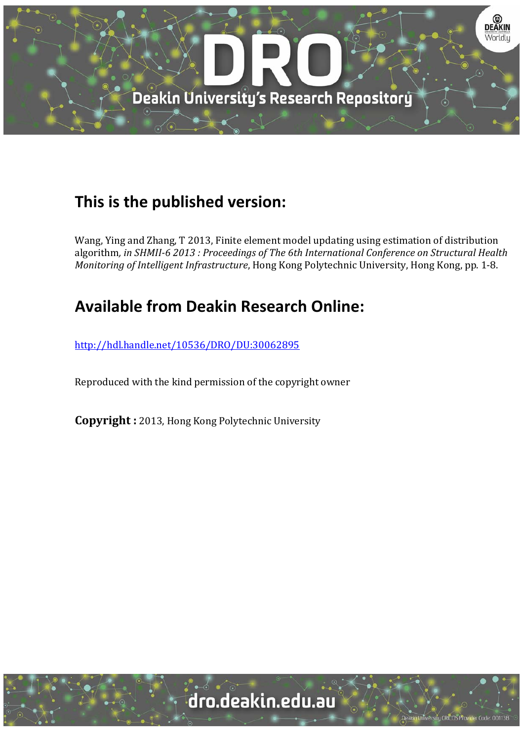

# **This is the published version:**

Wang, Ying and Zhang, T 2013, Finite element model updating using estimation of distribution algorithm*, in SHMII‐6 2013 : Proceedings of The 6th International Conference on Structural Health Monitoring* of *Intelligent Infrastructure*, Hong Kong Polytechnic University, Hong Kong, pp. 1-8.

# **Available from Deakin Research Online:**

http://hdl.handle.net/10536/DRO/DU:30062895

Reproduced with the kind permission of the copyright owner

**Copyright** : 2013, Hong Kong Polytechnic University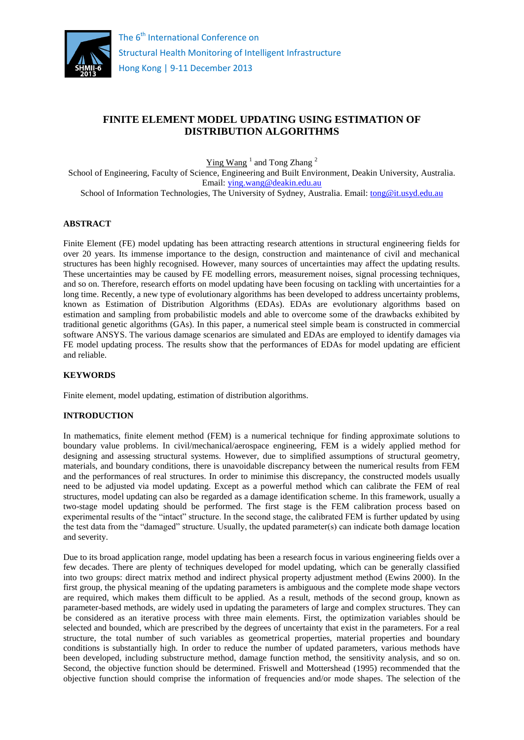

# **FINITE ELEMENT MODEL UPDATING USING ESTIMATION OF DISTRIBUTION ALGORITHMS**

 $\text{Ying Wang}$ <sup>1</sup> and Tong Zhang<sup>2</sup>

School of Engineering, Faculty of Science, Engineering and Built Environment, Deakin University, Australia. Email: [ying.wang@deakin.edu.au](mailto:ying.wang@deakin.edu.au)

School of Information Technologies, The University of Sydney, Australia. Email: [tong@it.usyd.edu.au](mailto:tong@it.usyd.edu.au)

#### **ABSTRACT**

Finite Element (FE) model updating has been attracting research attentions in structural engineering fields for over 20 years. Its immense importance to the design, construction and maintenance of civil and mechanical structures has been highly recognised. However, many sources of uncertainties may affect the updating results. These uncertainties may be caused by FE modelling errors, measurement noises, signal processing techniques, and so on. Therefore, research efforts on model updating have been focusing on tackling with uncertainties for a long time. Recently, a new type of evolutionary algorithms has been developed to address uncertainty problems, known as Estimation of Distribution Algorithms (EDAs). EDAs are evolutionary algorithms based on estimation and sampling from probabilistic models and able to overcome some of the drawbacks exhibited by traditional genetic algorithms (GAs). In this paper, a numerical steel simple beam is constructed in commercial software ANSYS. The various damage scenarios are simulated and EDAs are employed to identify damages via FE model updating process. The results show that the performances of EDAs for model updating are efficient and reliable.

# **KEYWORDS**

Finite element, model updating, estimation of distribution algorithms.

#### **INTRODUCTION**

In mathematics, finite element method (FEM) is a numerical technique for finding approximate solutions to boundary value problems. In civil/mechanical/aerospace engineering, FEM is a widely applied method for designing and assessing structural systems. However, due to simplified assumptions of structural geometry, materials, and boundary conditions, there is unavoidable discrepancy between the numerical results from FEM and the performances of real structures. In order to minimise this discrepancy, the constructed models usually need to be adjusted via model updating. Except as a powerful method which can calibrate the FEM of real structures, model updating can also be regarded as a damage identification scheme. In this framework, usually a two-stage model updating should be performed. The first stage is the FEM calibration process based on experimental results of the "intact" structure. In the second stage, the calibrated FEM is further updated by using the test data from the "damaged" structure. Usually, the updated parameter(s) can indicate both damage location and severity.

Due to its broad application range, model updating has been a research focus in various engineering fields over a few decades. There are plenty of techniques developed for model updating, which can be generally classified into two groups: direct matrix method and indirect physical property adjustment method (Ewins 2000). In the first group, the physical meaning of the updating parameters is ambiguous and the complete mode shape vectors are required, which makes them difficult to be applied. As a result, methods of the second group, known as parameter-based methods, are widely used in updating the parameters of large and complex structures. They can be considered as an iterative process with three main elements. First, the optimization variables should be selected and bounded, which are prescribed by the degrees of uncertainty that exist in the parameters. For a real structure, the total number of such variables as geometrical properties, material properties and boundary conditions is substantially high. In order to reduce the number of updated parameters, various methods have been developed, including substructure method, damage function method, the sensitivity analysis, and so on. Second, the objective function should be determined. Friswell and Mottershead (1995) recommended that the objective function should comprise the information of frequencies and/or mode shapes. The selection of the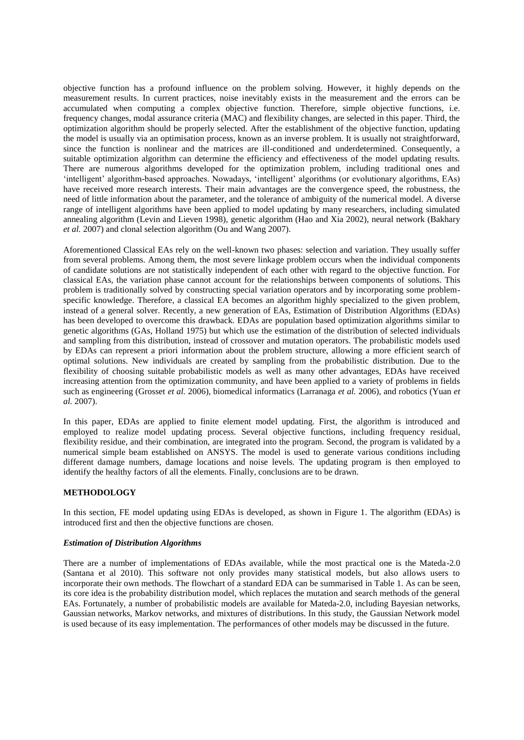objective function has a profound influence on the problem solving. However, it highly depends on the measurement results. In current practices, noise inevitably exists in the measurement and the errors can be accumulated when computing a complex objective function. Therefore, simple objective functions, i.e. frequency changes, modal assurance criteria (MAC) and flexibility changes, are selected in this paper. Third, the optimization algorithm should be properly selected. After the establishment of the objective function, updating the model is usually via an optimisation process, known as an inverse problem. It is usually not straightforward, since the function is nonlinear and the matrices are ill-conditioned and underdetermined. Consequently, a suitable optimization algorithm can determine the efficiency and effectiveness of the model updating results. There are numerous algorithms developed for the optimization problem, including traditional ones and 'intelligent' algorithm-based approaches. Nowadays, 'intelligent' algorithms (or evolutionary algorithms, EAs) have received more research interests. Their main advantages are the convergence speed, the robustness, the need of little information about the parameter, and the tolerance of ambiguity of the numerical model. A diverse range of intelligent algorithms have been applied to model updating by many researchers, including simulated annealing algorithm (Levin and Lieven 1998), genetic algorithm (Hao and Xia 2002), neural network (Bakhary *et al.* 2007) and clonal selection algorithm (Ou and Wang 2007).

Aforementioned Classical EAs rely on the well-known two phases: selection and variation. They usually suffer from several problems. Among them, the most severe linkage problem occurs when the individual components of candidate solutions are not statistically independent of each other with regard to the objective function. For classical EAs, the variation phase cannot account for the relationships between components of solutions. This problem is traditionally solved by constructing special variation operators and by incorporating some problemspecific knowledge. Therefore, a classical EA becomes an algorithm highly specialized to the given problem, instead of a general solver. Recently, a new generation of EAs, Estimation of Distribution Algorithms (EDAs) has been developed to overcome this drawback. EDAs are population based optimization algorithms similar to genetic algorithms (GAs, Holland 1975) but which use the estimation of the distribution of selected individuals and sampling from this distribution, instead of crossover and mutation operators. The probabilistic models used by EDAs can represent a priori information about the problem structure, allowing a more efficient search of optimal solutions. New individuals are created by sampling from the probabilistic distribution. Due to the flexibility of choosing suitable probabilistic models as well as many other advantages, EDAs have received increasing attention from the optimization community, and have been applied to a variety of problems in fields such as engineering (Grosset *et al.* 2006), biomedical informatics (Larranaga *et al.* 2006), and robotics (Yuan *et al.* 2007).

In this paper, EDAs are applied to finite element model updating. First, the algorithm is introduced and employed to realize model updating process. Several objective functions, including frequency residual, flexibility residue, and their combination, are integrated into the program. Second, the program is validated by a numerical simple beam established on ANSYS. The model is used to generate various conditions including different damage numbers, damage locations and noise levels. The updating program is then employed to identify the healthy factors of all the elements. Finally, conclusions are to be drawn.

## **METHODOLOGY**

In this section, FE model updating using EDAs is developed, as shown in Figure 1. The algorithm (EDAs) is introduced first and then the objective functions are chosen.

#### *Estimation of Distribution Algorithms*

There are a number of implementations of EDAs available, while the most practical one is the Mateda-2.0 (Santana et al 2010). This software not only provides many statistical models, but also allows users to incorporate their own methods. The flowchart of a standard EDA can be summarised in Table 1. As can be seen, its core idea is the probability distribution model, which replaces the mutation and search methods of the general EAs. Fortunately, a number of probabilistic models are available for Mateda-2.0, including Bayesian networks, Gaussian networks, Markov networks, and mixtures of distributions. In this study, the Gaussian Network model is used because of its easy implementation. The performances of other models may be discussed in the future.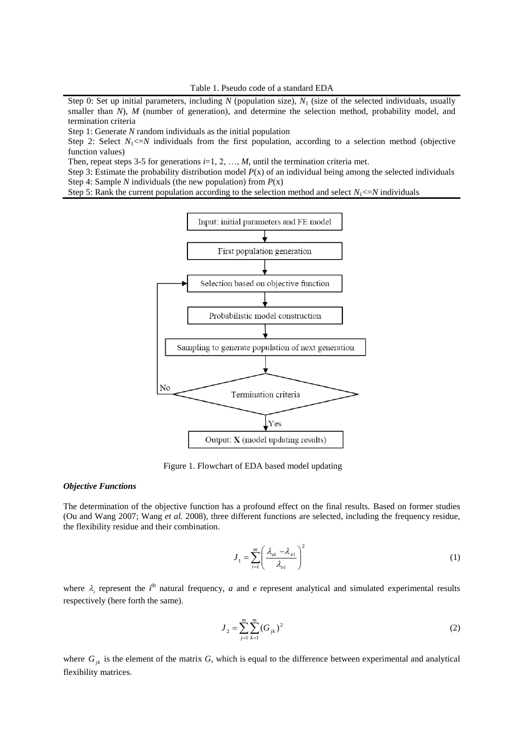Step 0: Set up initial parameters, including *N* (population size),  $N_1$  (size of the selected individuals, usually smaller than *N*), *M* (number of generation), and determine the selection method, probability model, and termination criteria

Step 1: Generate *N* random individuals as the initial population

Step 2: Select  $N_1 \leq N$  individuals from the first population, according to a selection method (objective function values)

Then, repeat steps 3-5 for generations  $i=1, 2, ..., M$ , until the termination criteria met.

Step 3: Estimate the probability distribution model *P*(x) of an individual being among the selected individuals Step 4: Sample *N* individuals (the new population) from *P*(x)

Step 5: Rank the current population according to the selection method and select  $N_1 \leq N$  individuals



Figure 1. Flowchart of EDA based model updating

## *Objective Functions*

The determination of the objective function has a profound effect on the final results. Based on former studies (Ou and Wang 2007; Wang *et al.* 2008), three different functions are selected, including the frequency residue, the flexibility residue and their combination.

$$
J_1 = \sum_{i=1}^{m} \left( \frac{\lambda_{ai} - \lambda_{ei}}{\lambda_{ei}} \right)^2
$$
 (1)

where  $\lambda_i$  represent the *i*<sup>th</sup> natural frequency, *a* and *e* represent analytical and simulated experimental results respectively (here forth the same).

$$
J_2 = \sum_{j=1}^{m} \sum_{k=1}^{m} (G_{jk})^2
$$
 (2)

where  $G_{jk}$  is the element of the matrix  $G$ , which is equal to the difference between experimental and analytical flexibility matrices.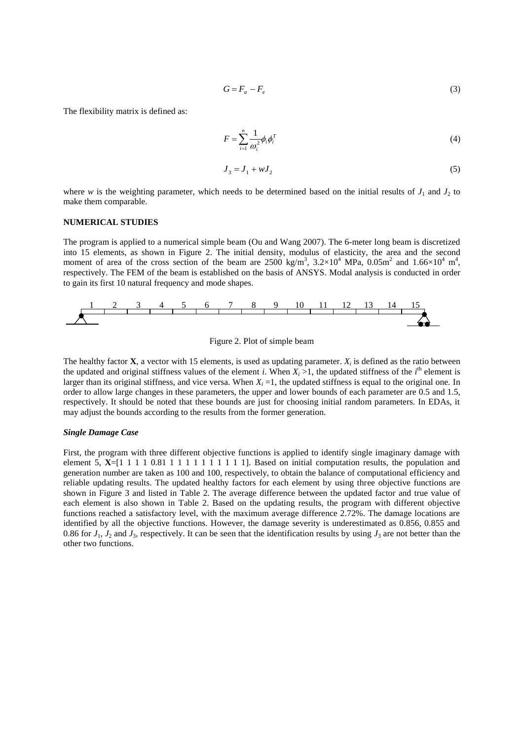$$
G = F_a - F_e \tag{3}
$$

The flexibility matrix is defined as:

$$
F = \sum_{i=1}^{n} \frac{1}{\omega_i^2} \phi_i \phi_i^T
$$
 (4)

$$
J_3 = J_1 + wJ_2 \tag{5}
$$

where *w* is the weighting parameter, which needs to be determined based on the initial results of  $J_1$  and  $J_2$  to make them comparable.

#### **NUMERICAL STUDIES**

The program is applied to a numerical simple beam (Ou and Wang 2007). The 6-meter long beam is discretized into 15 elements, as shown in Figure 2. The initial density, modulus of elasticity, the area and the second moment of area of the cross section of the beam are  $2500 \text{ kg/m}^3$ ,  $3.2 \times 10^4 \text{ MPa}$ ,  $0.05 \text{m}^2$  and  $1.66 \times 10^4 \text{ m}^4$ , respectively. The FEM of the beam is established on the basis of ANSYS. Modal analysis is conducted in order to gain its first 10 natural frequency and mode shapes.





The healthy factor **X**, a vector with 15 elements, is used as updating parameter.  $X_i$  is defined as the ratio between the updated and original stiffness values of the element *i*. When  $X_i > 1$ , the updated stiffness of the *i*<sup>th</sup> element is larger than its original stiffness, and vice versa. When  $X<sub>i</sub> = 1$ , the updated stiffness is equal to the original one. In order to allow large changes in these parameters, the upper and lower bounds of each parameter are 0.5 and 1.5, respectively. It should be noted that these bounds are just for choosing initial random parameters. In EDAs, it may adjust the bounds according to the results from the former generation.

#### *Single Damage Case*

First, the program with three different objective functions is applied to identify single imaginary damage with element 5,  $X=[1 \ 1 \ 1 \ 1 \ 1 \ 0 \ 81 \ 1 \ 1 \ 1 \ 1 \ 1 \ 1 \ 1 \ 1 \ 1 \ 1 \ 1 \ 1]$ . Based on initial computation results, the population and generation number are taken as 100 and 100, respectively, to obtain the balance of computational efficiency and reliable updating results. The updated healthy factors for each element by using three objective functions are shown in Figure 3 and listed in Table 2. The average difference between the updated factor and true value of each element is also shown in Table 2. Based on the updating results, the program with different objective functions reached a satisfactory level, with the maximum average difference 2.72%. The damage locations are identified by all the objective functions. However, the damage severity is underestimated as 0.856, 0.855 and 0.86 for  $J_1$ ,  $J_2$  and  $J_3$ , respectively. It can be seen that the identification results by using  $J_3$  are not better than the other two functions.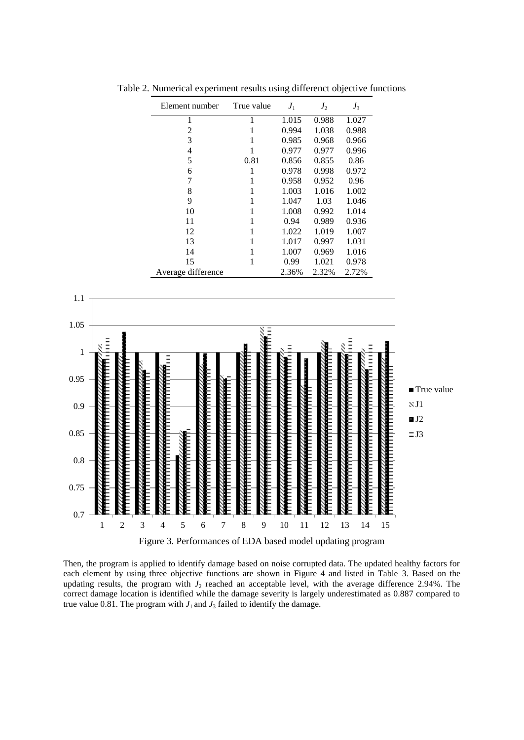| Element number     | True value | $J_1$ | $J_2$ | $J_3$ |
|--------------------|------------|-------|-------|-------|
| 1                  | 1          | 1.015 | 0.988 | 1.027 |
| 2                  | 1          | 0.994 | 1.038 | 0.988 |
| 3                  | 1          | 0.985 | 0.968 | 0.966 |
| $\overline{4}$     | 1          | 0.977 | 0.977 | 0.996 |
| 5                  | 0.81       | 0.856 | 0.855 | 0.86  |
| 6                  | 1          | 0.978 | 0.998 | 0.972 |
| 7                  | 1          | 0.958 | 0.952 | 0.96  |
| 8                  |            | 1.003 | 1.016 | 1.002 |
| 9                  |            | 1.047 | 1.03  | 1.046 |
| 10                 |            | 1.008 | 0.992 | 1.014 |
| 11                 |            | 0.94  | 0.989 | 0.936 |
| 12                 |            | 1.022 | 1.019 | 1.007 |
| 13                 |            | 1.017 | 0.997 | 1.031 |
| 14                 |            | 1.007 | 0.969 | 1.016 |
| 15                 | 1          | 0.99  | 1.021 | 0.978 |
| Average difference |            | 2.36% | 2.32% | 2.72% |

Table 2. Numerical experiment results using differenct objective functions



Then, the program is applied to identify damage based on noise corrupted data. The updated healthy factors for each element by using three objective functions are shown in Figure 4 and listed in Table 3. Based on the updating results, the program with *J*<sup>2</sup> reached an acceptable level, with the average difference 2.94%. The correct damage location is identified while the damage severity is largely underestimated as 0.887 compared to true value 0.81. The program with  $J_1$  and  $J_3$  failed to identify the damage.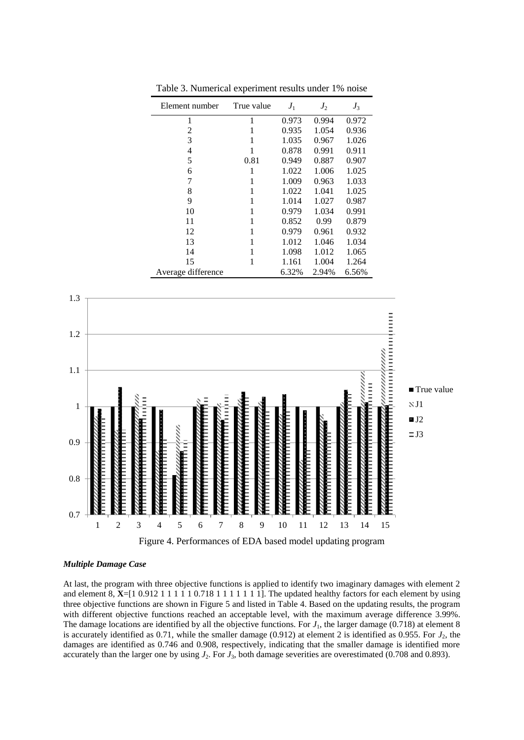| Element number     | True value | $J_1$ | $J_2$ | $J_3$ |
|--------------------|------------|-------|-------|-------|
| 1                  | 1          | 0.973 | 0.994 | 0.972 |
| 2                  | 1          | 0.935 | 1.054 | 0.936 |
| 3                  | 1          | 1.035 | 0.967 | 1.026 |
| 4                  | 1          | 0.878 | 0.991 | 0.911 |
| 5                  | 0.81       | 0.949 | 0.887 | 0.907 |
| 6                  | 1          | 1.022 | 1.006 | 1.025 |
| 7                  | 1          | 1.009 | 0.963 | 1.033 |
| 8                  | 1          | 1.022 | 1.041 | 1.025 |
| 9                  | 1          | 1.014 | 1.027 | 0.987 |
| 10                 | 1          | 0.979 | 1.034 | 0.991 |
| 11                 | 1          | 0.852 | 0.99  | 0.879 |
| 12                 | 1          | 0.979 | 0.961 | 0.932 |
| 13                 | 1          | 1.012 | 1.046 | 1.034 |
| 14                 | 1          | 1.098 | 1.012 | 1.065 |
| 15                 | 1          | 1.161 | 1.004 | 1.264 |
| Average difference |            | 6.32% | 2.94% | 6.56% |

Table 3. Numerical experiment results under 1% noise



#### *Multiple Damage Case*

At last, the program with three objective functions is applied to identify two imaginary damages with element 2 and element 8, **X**=[1 0.912 1 1 1 1 1 0.718 1 1 1 1 1 1 1]. The updated healthy factors for each element by using three objective functions are shown in Figure 5 and listed in Table 4. Based on the updating results, the program with different objective functions reached an acceptable level, with the maximum average difference 3.99%. The damage locations are identified by all the objective functions. For  $J_1$ , the larger damage (0.718) at element 8 is accurately identified as 0.71, while the smaller damage  $(0.912)$  at element 2 is identified as 0.955. For  $J_2$ , the damages are identified as 0.746 and 0.908, respectively, indicating that the smaller damage is identified more accurately than the larger one by using  $J_2$ . For  $J_3$ , both damage severities are overestimated (0.708 and 0.893).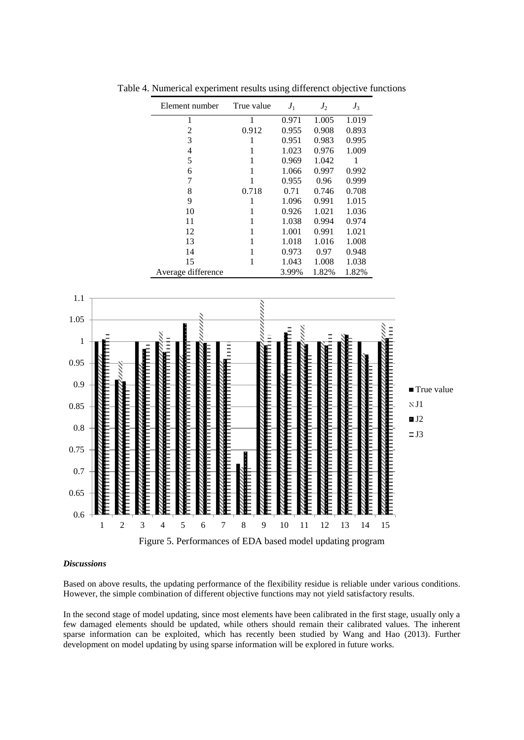|                                     | Element number                                             | True value   | ${\cal J}_1$ | ${\cal J}_2$ | $J_3$        |              |
|-------------------------------------|------------------------------------------------------------|--------------|--------------|--------------|--------------|--------------|
|                                     | $\mathbf{1}$                                               | $\mathbf 1$  | 0.971        | 1.005        | 1.019        |              |
|                                     | $\overline{c}$                                             | 0.912        | 0.955        | 0.908        | 0.893        |              |
|                                     | 3                                                          | $\,1$        | 0.951        | 0.983        | 0.995        |              |
|                                     | 4                                                          | $\mathbf{1}$ | 1.023        | 0.976        | 1.009        |              |
|                                     | 5                                                          | 1            | 0.969        | 1.042        | $\mathbf{1}$ |              |
|                                     | 6                                                          | $\mathbf{1}$ | 1.066        | 0.997        | 0.992        |              |
|                                     | 7                                                          | $\mathbf 1$  | 0.955        | 0.96         | 0.999        |              |
|                                     | $\,8\,$                                                    | 0.718        | 0.71         | 0.746        | 0.708        |              |
|                                     | 9                                                          | $\,1$        | 1.096        | 0.991        | $1.015\,$    |              |
|                                     | 10                                                         | $\,1$        | 0.926        | 1.021        | 1.036        |              |
|                                     | 11                                                         | 1            | 1.038        | 0.994        | 0.974        |              |
|                                     | 12                                                         | $\mathbf{1}$ | $1.001\,$    | 0.991        | 1.021        |              |
|                                     | 13                                                         | $\mathbf{1}$ | 1.018        | 1.016        | 1.008        |              |
|                                     | 14                                                         | $\mathbf{1}$ | 0.973        | 0.97         | 0.948        |              |
|                                     | 15                                                         | 1            | 1.043        | $1.008\,$    | 1.038        |              |
|                                     | Average difference                                         |              | 3.99%        | 1.82%        | 1.82%        |              |
| $1.1\,$                             |                                                            |              |              |              |              |              |
|                                     |                                                            |              |              |              |              |              |
| 1.05                                |                                                            |              |              |              |              |              |
|                                     |                                                            |              |              |              |              |              |
| $\,1\,$                             |                                                            |              |              |              |              |              |
|                                     |                                                            |              |              |              |              |              |
| 0.95                                |                                                            |              |              |              |              |              |
|                                     |                                                            |              |              |              |              |              |
| 0.9                                 |                                                            |              |              |              |              |              |
|                                     |                                                            |              |              |              |              | ■ True value |
| 0.85                                |                                                            |              |              |              |              | NJ1          |
|                                     |                                                            |              |              |              |              |              |
| $0.8\,$                             |                                                            |              |              |              |              | J2           |
|                                     |                                                            |              |              |              |              | $\equiv$ J3  |
| 0.75                                |                                                            |              |              |              |              |              |
|                                     |                                                            |              |              |              |              |              |
| $0.7\,$                             |                                                            |              |              |              |              |              |
|                                     |                                                            |              |              |              |              |              |
|                                     |                                                            |              |              |              |              |              |
| 0.65                                |                                                            |              |              |              |              |              |
|                                     |                                                            |              |              |              |              |              |
| 0.6                                 |                                                            |              |              |              |              |              |
| 3<br>$\overline{c}$<br>$\mathbf{1}$ | 5<br>$\overline{7}$<br>$\overline{4}$<br>6                 | 8<br>9       | 10<br>11     | 12           | 13<br>14     | 15           |
|                                     | Figure 5. Performances of EDA based model updating program |              |              |              |              |              |

Table 4. Numerical experiment results using differenct objective functions

# *Discussions*

Based on above results, the updating performance of the flexibility residue is reliable under various conditions. However, the simple combination of different objective functions may not yield satisfactory results.

In the second stage of model updating, since most elements have been calibrated in the first stage, usually only a few damaged elements should be updated, while others should remain their calibrated values. The inherent sparse information can be exploited, which has recently been studied by Wang and Hao (2013). Further development on model updating by using sparse information will be explored in future works.